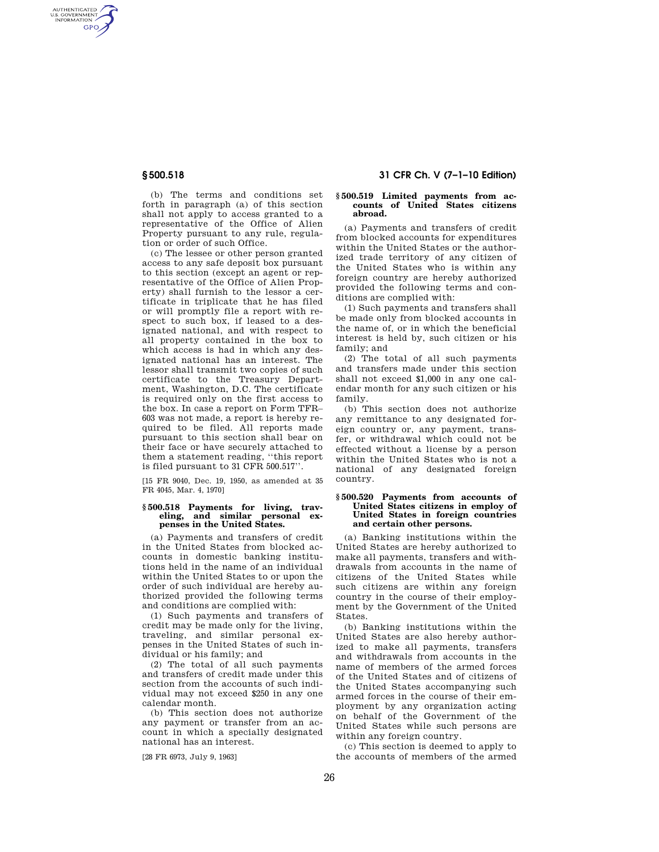AUTHENTICATED<br>U.S. GOVERNMENT<br>INFORMATION **GPO** 

> (b) The terms and conditions set forth in paragraph (a) of this section shall not apply to access granted to a representative of the Office of Alien Property pursuant to any rule, regulation or order of such Office.

> (c) The lessee or other person granted access to any safe deposit box pursuant to this section (except an agent or representative of the Office of Alien Property) shall furnish to the lessor a certificate in triplicate that he has filed or will promptly file a report with respect to such box, if leased to a designated national, and with respect to all property contained in the box to which access is had in which any designated national has an interest. The lessor shall transmit two copies of such certificate to the Treasury Department, Washington, D.C. The certificate is required only on the first access to the box. In case a report on Form TFR– 603 was not made, a report is hereby required to be filed. All reports made pursuant to this section shall bear on their face or have securely attached to them a statement reading, ''this report is filed pursuant to 31 CFR 500.517''.

> [15 FR 9040, Dec. 19, 1950, as amended at 35 FR 4045, Mar. 4, 1970]

### **§ 500.518 Payments for living, traveling, and similar personal expenses in the United States.**

(a) Payments and transfers of credit in the United States from blocked accounts in domestic banking institutions held in the name of an individual within the United States to or upon the order of such individual are hereby authorized provided the following terms and conditions are complied with:

(1) Such payments and transfers of credit may be made only for the living, traveling, and similar personal expenses in the United States of such individual or his family; and

(2) The total of all such payments and transfers of credit made under this section from the accounts of such individual may not exceed \$250 in any one calendar month.

(b) This section does not authorize any payment or transfer from an account in which a specially designated national has an interest.

[28 FR 6973, July 9, 1963]

# **§ 500.518 31 CFR Ch. V (7–1–10 Edition)**

#### **§ 500.519 Limited payments from accounts of United States citizens abroad.**

(a) Payments and transfers of credit from blocked accounts for expenditures within the United States or the authorized trade territory of any citizen of the United States who is within any foreign country are hereby authorized provided the following terms and conditions are complied with:

(1) Such payments and transfers shall be made only from blocked accounts in the name of, or in which the beneficial interest is held by, such citizen or his family; and

(2) The total of all such payments and transfers made under this section shall not exceed \$1,000 in any one calendar month for any such citizen or his family.

(b) This section does not authorize any remittance to any designated foreign country or, any payment, transfer, or withdrawal which could not be effected without a license by a person within the United States who is not a national of any designated foreign country.

#### **§ 500.520 Payments from accounts of United States citizens in employ of United States in foreign countries and certain other persons.**

(a) Banking institutions within the United States are hereby authorized to make all payments, transfers and withdrawals from accounts in the name of citizens of the United States while such citizens are within any foreign country in the course of their employment by the Government of the United States.

(b) Banking institutions within the United States are also hereby authorized to make all payments, transfers and withdrawals from accounts in the name of members of the armed forces of the United States and of citizens of the United States accompanying such armed forces in the course of their employment by any organization acting on behalf of the Government of the United States while such persons are within any foreign country.

(c) This section is deemed to apply to the accounts of members of the armed